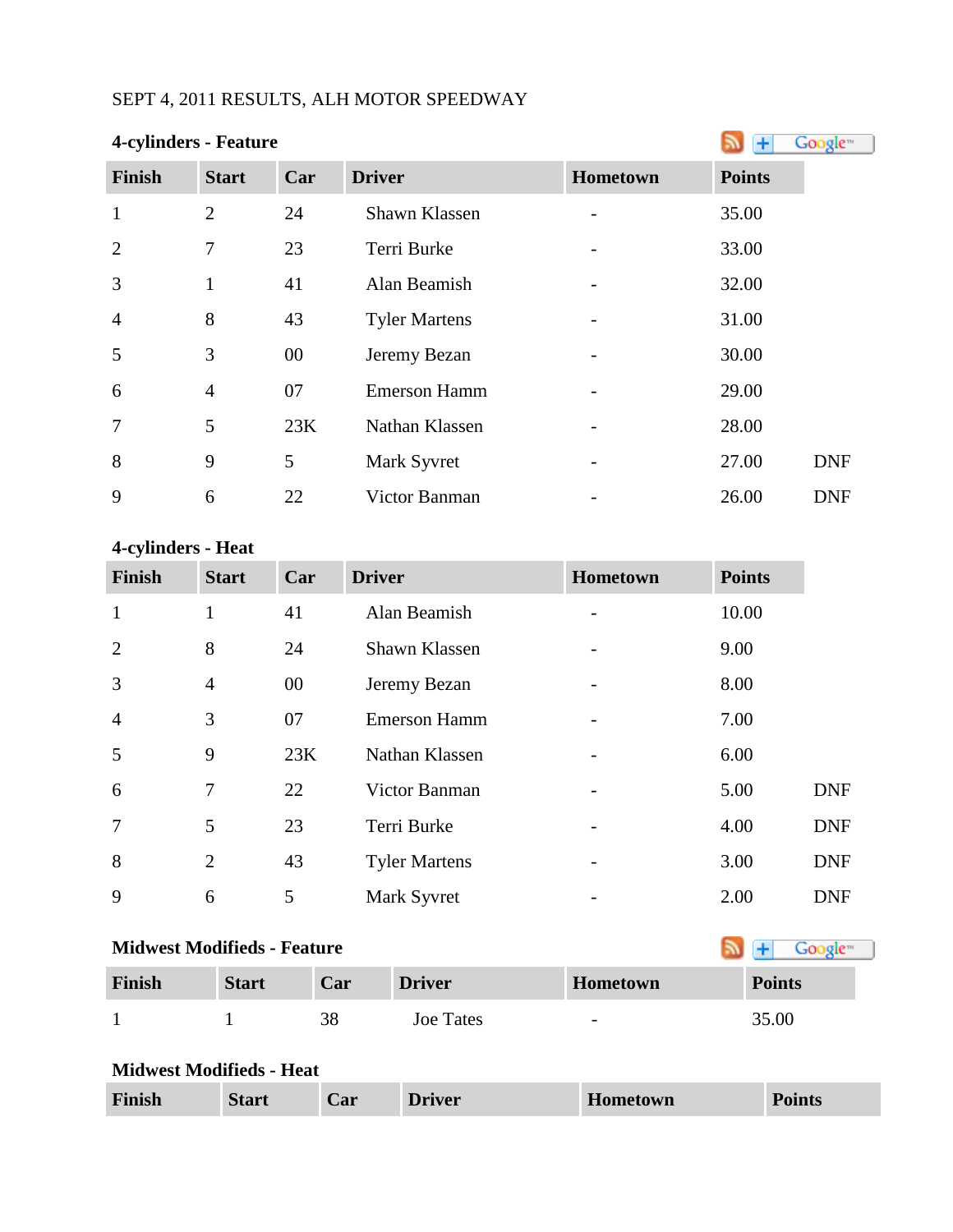# SEPT 4, 2011 RESULTS, ALH MOTOR SPEEDWAY

| 4-cylinders - Feature |                |        |                      |          |               | Google <sup>®</sup> |
|-----------------------|----------------|--------|----------------------|----------|---------------|---------------------|
| <b>Finish</b>         | <b>Start</b>   | Car    | <b>Driver</b>        | Hometown | <b>Points</b> |                     |
| $\mathbf{1}$          | $\overline{2}$ | 24     | Shawn Klassen        |          | 35.00         |                     |
| $\overline{2}$        | 7              | 23     | Terri Burke          |          | 33.00         |                     |
| 3                     | $\mathbf{1}$   | 41     | Alan Beamish         |          | 32.00         |                     |
| $\overline{4}$        | 8              | 43     | <b>Tyler Martens</b> |          | 31.00         |                     |
| 5                     | 3              | $00\,$ | Jeremy Bezan         |          | 30.00         |                     |
| 6                     | $\overline{4}$ | 07     | <b>Emerson Hamm</b>  |          | 29.00         |                     |
| 7                     | 5              | 23K    | Nathan Klassen       |          | 28.00         |                     |
| 8                     | 9              | 5      | Mark Syvret          |          | 27.00         | <b>DNF</b>          |
| 9                     | 6              | 22     | Victor Banman        |          | 26.00         | <b>DNF</b>          |

#### **4-cylinders - Heat**

| <b>Finish</b>  | <b>Start</b>   | Car | <b>Driver</b>        | Hometown                 | <b>Points</b> |            |
|----------------|----------------|-----|----------------------|--------------------------|---------------|------------|
| $\mathbf{1}$   | 1              | 41  | Alan Beamish         | $\overline{\phantom{a}}$ | 10.00         |            |
| $\overline{2}$ | 8              | 24  | Shawn Klassen        |                          | 9.00          |            |
| 3              | $\overline{4}$ | 00  | Jeremy Bezan         | -                        | 8.00          |            |
| $\overline{4}$ | 3              | 07  | <b>Emerson Hamm</b>  |                          | 7.00          |            |
| 5              | 9              | 23K | Nathan Klassen       |                          | 6.00          |            |
| 6              | 7              | 22  | Victor Banman        | -                        | 5.00          | <b>DNF</b> |
| $\overline{7}$ | 5              | 23  | Terri Burke          |                          | 4.00          | <b>DNF</b> |
| 8              | $\overline{2}$ | 43  | <b>Tyler Martens</b> | $\overline{\phantom{m}}$ | 3.00          | <b>DNF</b> |
| 9              | 6              | 5   | Mark Syvret          |                          | 2.00          | <b>DNF</b> |

# **MidwestModifieds - Feature**

| Finish | <b>Start</b> | Car | <b>Driver</b> | <b>Hometown</b>          | <b>Points</b> |
|--------|--------------|-----|---------------|--------------------------|---------------|
|        |              | oс  | Joe Tates     | $\overline{\phantom{0}}$ | 35.00         |

### **Midwest Modifieds - Heat**

| Finish | <b>Start</b> | $\mathbf{Car}$ | <b>Driver</b> | Hometown | <b>Points</b> |
|--------|--------------|----------------|---------------|----------|---------------|
|--------|--------------|----------------|---------------|----------|---------------|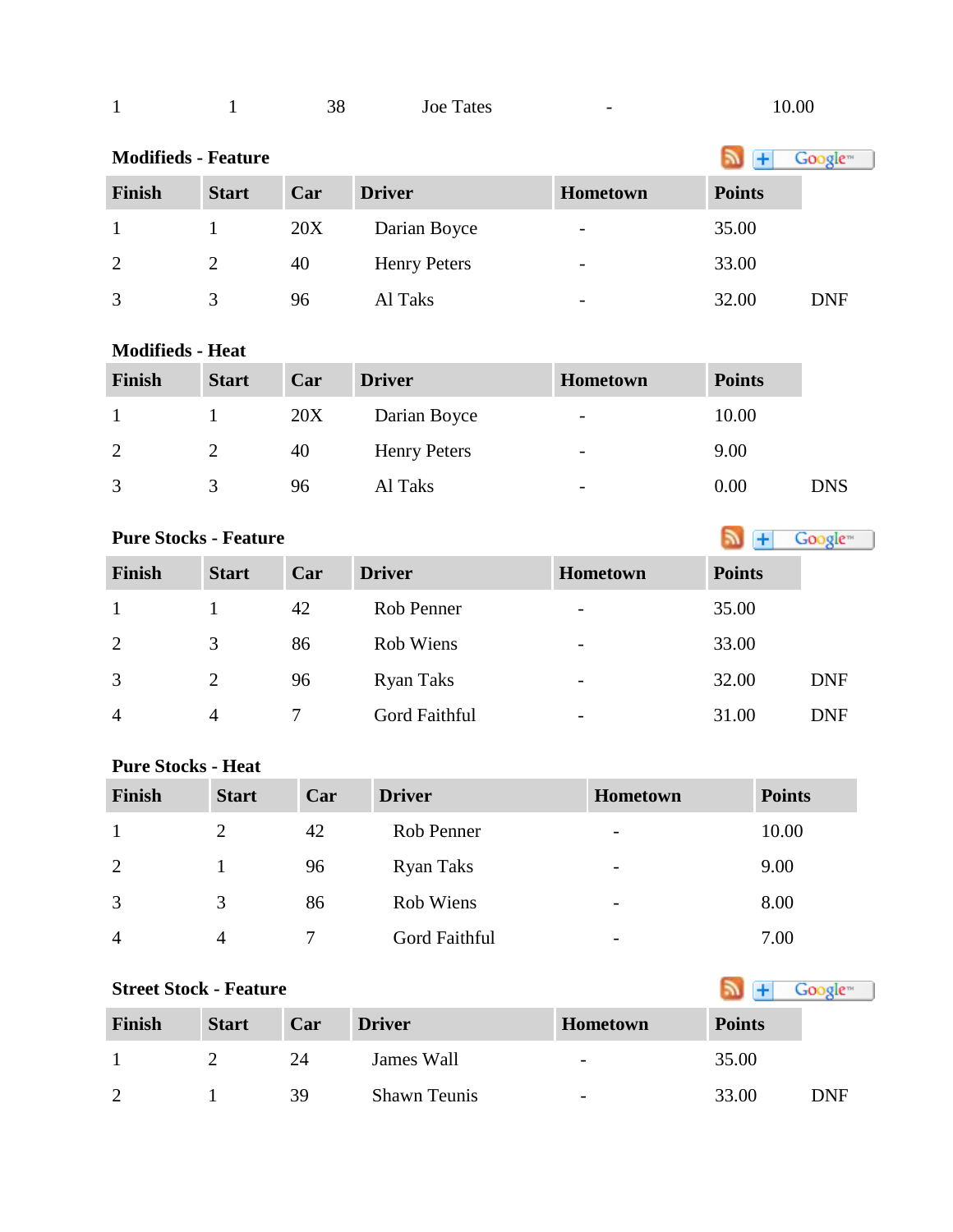| 1                          |              | 38  | <b>Joe Tates</b>    | $\overline{\phantom{0}}$ | 10.00         |                      |
|----------------------------|--------------|-----|---------------------|--------------------------|---------------|----------------------|
| <b>Modifieds - Feature</b> |              |     |                     |                          |               | Google <sup>-1</sup> |
| Finish                     | <b>Start</b> | Car | <b>Driver</b>       | Hometown                 | <b>Points</b> |                      |
| 1                          |              | 20X | Darian Boyce        |                          | 35.00         |                      |
| 2                          | 2            | 40  | <b>Henry Peters</b> | -                        | 33.00         |                      |
| 3                          | 3            | 96  | Al Taks             |                          | 32.00         | DNF                  |

#### **Modifieds - Heat**

| <b>Finish</b> | <b>Start</b> | Car | <b>Driver</b>       | <b>Hometown</b>          | <b>Points</b> |            |
|---------------|--------------|-----|---------------------|--------------------------|---------------|------------|
|               |              | 20X | Darian Boyce        | $\overline{\phantom{a}}$ | 10.00         |            |
| 2             |              | 40  | <b>Henry Peters</b> | $\overline{\phantom{0}}$ | 9.00          |            |
| 3             |              | 96  | Al Taks             | $\overline{\phantom{a}}$ | 0.00          | <b>DNS</b> |

## **PureStocks - Feature Algebra 2019 Coolers**

| <b>Finish</b>  | <b>Start</b>   | Car | <b>Driver</b> | <b>Hometown</b>          | <b>Points</b> |            |
|----------------|----------------|-----|---------------|--------------------------|---------------|------------|
|                |                | 42  | Rob Penner    | $\overline{\phantom{a}}$ | 35.00         |            |
| 2              | 3              | 86  | Rob Wiens     | $\overline{\phantom{a}}$ | 33.00         |            |
| 3              | $\overline{2}$ | 96  | Ryan Taks     | $\overline{\phantom{a}}$ | 32.00         | <b>DNF</b> |
| $\overline{4}$ | 4              | 7   | Gord Faithful | $\overline{\phantom{a}}$ | 31.00         | <b>DNF</b> |

# **Pure Stocks - Heat**

| <b>Finish</b>  | <b>Start</b>  | Car | <b>Driver</b> | Hometown                     | <b>Points</b> |
|----------------|---------------|-----|---------------|------------------------------|---------------|
|                | $\mathcal{D}$ | 42  | Rob Penner    | $\qquad \qquad \blacksquare$ | 10.00         |
| 2              |               | 96  | Ryan Taks     | $\overline{\phantom{a}}$     | 9.00          |
| 3              | 3             | 86  | Rob Wiens     | -                            | 8.00          |
| $\overline{4}$ | 4             |     | Gord Faithful | -                            | 7.00          |

| <b>Street Stock - Feature</b> |              | Google™ |                     |                          |               |     |
|-------------------------------|--------------|---------|---------------------|--------------------------|---------------|-----|
| Finish                        | <b>Start</b> | Car     | <b>Driver</b>       | <b>Hometown</b>          | <b>Points</b> |     |
|                               |              | 24      | James Wall          | $\overline{\phantom{a}}$ | 35.00         |     |
|                               |              | 39      | <b>Shawn Teunis</b> | -                        | 33.00         | DNF |